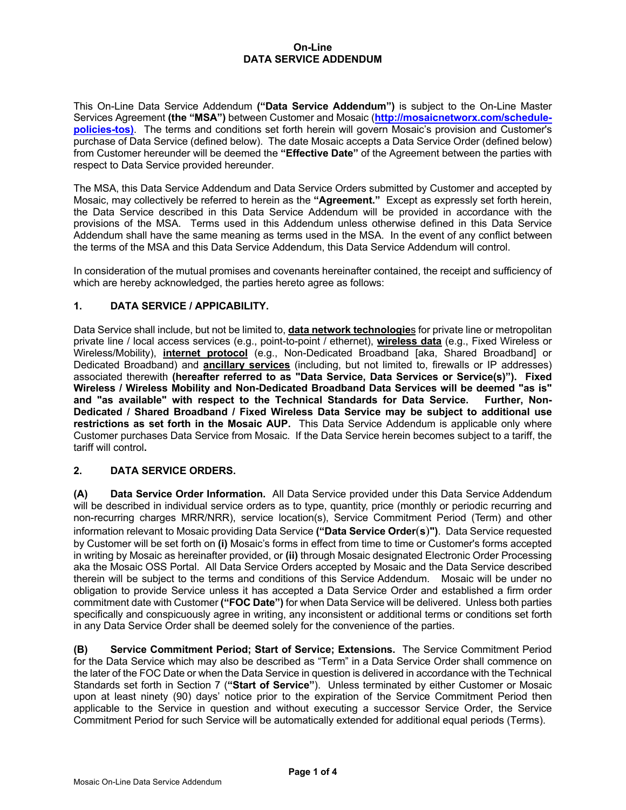#### **On-Line DATA SERVICE ADDENDUM**

This On-Line Data Service Addendum **("Data Service Addendum")** is subject to the On-Line Master Services Agreement **(the "MSA")** between Customer and Mosaic (**http://mosaicnetworx.com/schedulepolicies-tos)**. The terms and conditions set forth herein will govern Mosaic's provision and Customer's purchase of Data Service (defined below). The date Mosaic accepts a Data Service Order (defined below) from Customer hereunder will be deemed the **"Effective Date"** of the Agreement between the parties with respect to Data Service provided hereunder.

The MSA, this Data Service Addendum and Data Service Orders submitted by Customer and accepted by Mosaic, may collectively be referred to herein as the **"Agreement."** Except as expressly set forth herein, the Data Service described in this Data Service Addendum will be provided in accordance with the provisions of the MSA. Terms used in this Addendum unless otherwise defined in this Data Service Addendum shall have the same meaning as terms used in the MSA. In the event of any conflict between the terms of the MSA and this Data Service Addendum, this Data Service Addendum will control.

In consideration of the mutual promises and covenants hereinafter contained, the receipt and sufficiency of which are hereby acknowledged, the parties hereto agree as follows:

## **1. DATA SERVICE / APPICABILITY.**

Data Service shall include, but not be limited to, **data network technologie**s for private line or metropolitan private line / local access services (e.g., point-to-point / ethernet), **wireless data** (e.g., Fixed Wireless or Wireless/Mobility), **internet protocol** (e.g., Non-Dedicated Broadband [aka, Shared Broadband] or Dedicated Broadband) and **ancillary services** (including, but not limited to, firewalls or IP addresses) associated therewith **(hereafter referred to as "Data Service, Data Services or Service(s)"). Fixed Wireless / Wireless Mobility and Non-Dedicated Broadband Data Services will be deemed "as is" and "as available" with respect to the Technical Standards for Data Service. Further, Non-Dedicated / Shared Broadband / Fixed Wireless Data Service may be subject to additional use restrictions as set forth in the Mosaic AUP.** This Data Service Addendum is applicable only where Customer purchases Data Service from Mosaic. If the Data Service herein becomes subject to a tariff, the tariff will control**.**

#### **2. DATA SERVICE ORDERS.**

**(A) Data Service Order Information.** All Data Service provided under this Data Service Addendum will be described in individual service orders as to type, quantity, price (monthly or periodic recurring and non-recurring charges MRR/NRR), service location(s), Service Commitment Period (Term) and other information relevant to Mosaic providing Data Service **("Data Service Order**(**s**)**")**. Data Service requested by Customer will be set forth on **(i)** Mosaic's forms in effect from time to time or Customer's forms accepted in writing by Mosaic as hereinafter provided, or **(ii)** through Mosaic designated Electronic Order Processing aka the Mosaic OSS Portal. All Data Service Orders accepted by Mosaic and the Data Service described therein will be subject to the terms and conditions of this Service Addendum. Mosaic will be under no obligation to provide Service unless it has accepted a Data Service Order and established a firm order commitment date with Customer **("FOC Date")** for when Data Service will be delivered. Unless both parties specifically and conspicuously agree in writing, any inconsistent or additional terms or conditions set forth in any Data Service Order shall be deemed solely for the convenience of the parties.

**(B) Service Commitment Period; Start of Service; Extensions.** The Service Commitment Period for the Data Service which may also be described as "Term" in a Data Service Order shall commence on the later of the FOC Date or when the Data Service in question is delivered in accordance with the Technical Standards set forth in Section 7 (**"Start of Service"**). Unless terminated by either Customer or Mosaic upon at least ninety (90) days' notice prior to the expiration of the Service Commitment Period then applicable to the Service in question and without executing a successor Service Order, the Service Commitment Period for such Service will be automatically extended for additional equal periods (Terms).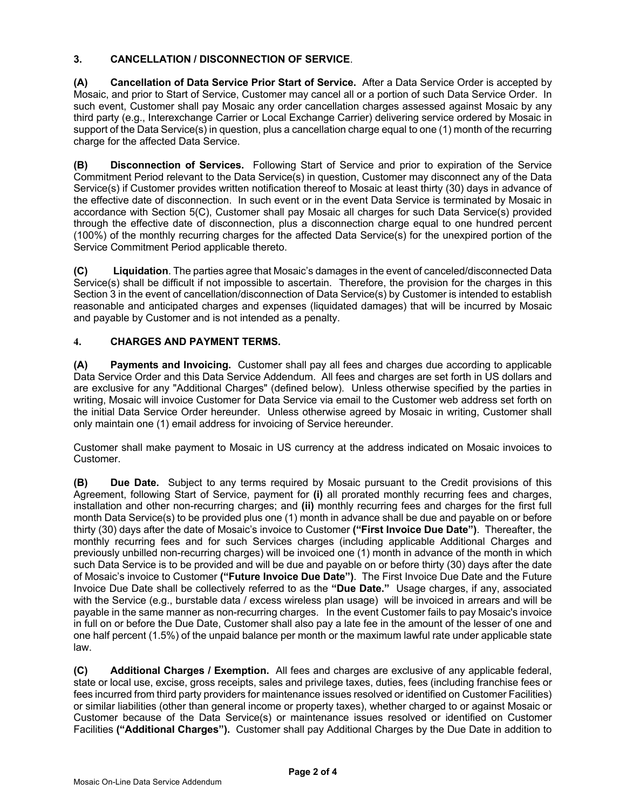# **3. CANCELLATION / DISCONNECTION OF SERVICE**.

**(A) Cancellation of Data Service Prior Start of Service.** After a Data Service Order is accepted by Mosaic, and prior to Start of Service, Customer may cancel all or a portion of such Data Service Order. In such event, Customer shall pay Mosaic any order cancellation charges assessed against Mosaic by any third party (e.g., Interexchange Carrier or Local Exchange Carrier) delivering service ordered by Mosaic in support of the Data Service(s) in question, plus a cancellation charge equal to one (1) month of the recurring charge for the affected Data Service.

**(B) Disconnection of Services.** Following Start of Service and prior to expiration of the Service Commitment Period relevant to the Data Service(s) in question, Customer may disconnect any of the Data Service(s) if Customer provides written notification thereof to Mosaic at least thirty (30) days in advance of the effective date of disconnection. In such event or in the event Data Service is terminated by Mosaic in accordance with Section 5(C), Customer shall pay Mosaic all charges for such Data Service(s) provided through the effective date of disconnection, plus a disconnection charge equal to one hundred percent (100%) of the monthly recurring charges for the affected Data Service(s) for the unexpired portion of the Service Commitment Period applicable thereto.

**(C) Liquidation**. The parties agree that Mosaic's damages in the event of canceled/disconnected Data Service(s) shall be difficult if not impossible to ascertain. Therefore, the provision for the charges in this Section 3 in the event of cancellation/disconnection of Data Service(s) by Customer is intended to establish reasonable and anticipated charges and expenses (liquidated damages) that will be incurred by Mosaic and payable by Customer and is not intended as a penalty.

## **4. CHARGES AND PAYMENT TERMS.**

**(A) Payments and Invoicing.** Customer shall pay all fees and charges due according to applicable Data Service Order and this Data Service Addendum. All fees and charges are set forth in US dollars and are exclusive for any "Additional Charges" (defined below). Unless otherwise specified by the parties in writing, Mosaic will invoice Customer for Data Service via email to the Customer web address set forth on the initial Data Service Order hereunder. Unless otherwise agreed by Mosaic in writing, Customer shall only maintain one (1) email address for invoicing of Service hereunder.

Customer shall make payment to Mosaic in US currency at the address indicated on Mosaic invoices to Customer.

**(B) Due Date.** Subject to any terms required by Mosaic pursuant to the Credit provisions of this Agreement, following Start of Service, payment for **(i)** all prorated monthly recurring fees and charges, installation and other non-recurring charges; and **(ii)** monthly recurring fees and charges for the first full month Data Service(s) to be provided plus one (1) month in advance shall be due and payable on or before thirty (30) days after the date of Mosaic's invoice to Customer **("First Invoice Due Date")**. Thereafter, the monthly recurring fees and for such Services charges (including applicable Additional Charges and previously unbilled non-recurring charges) will be invoiced one (1) month in advance of the month in which such Data Service is to be provided and will be due and payable on or before thirty (30) days after the date of Mosaic's invoice to Customer **("Future Invoice Due Date")**. The First Invoice Due Date and the Future Invoice Due Date shall be collectively referred to as the **"Due Date."** Usage charges, if any, associated with the Service (e.g., burstable data / excess wireless plan usage) will be invoiced in arrears and will be payable in the same manner as non-recurring charges. In the event Customer fails to pay Mosaic's invoice in full on or before the Due Date, Customer shall also pay a late fee in the amount of the lesser of one and one half percent (1.5%) of the unpaid balance per month or the maximum lawful rate under applicable state law.

**(C) Additional Charges / Exemption.** All fees and charges are exclusive of any applicable federal, state or local use, excise, gross receipts, sales and privilege taxes, duties, fees (including franchise fees or fees incurred from third party providers for maintenance issues resolved or identified on Customer Facilities) or similar liabilities (other than general income or property taxes), whether charged to or against Mosaic or Customer because of the Data Service(s) or maintenance issues resolved or identified on Customer Facilities **("Additional Charges").** Customer shall pay Additional Charges by the Due Date in addition to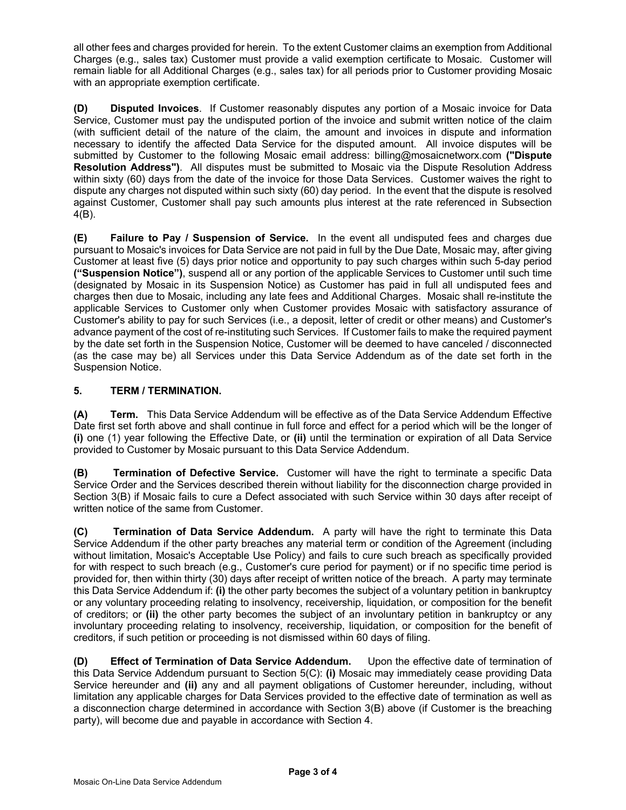all other fees and charges provided for herein. To the extent Customer claims an exemption from Additional Charges (e.g., sales tax) Customer must provide a valid exemption certificate to Mosaic. Customer will remain liable for all Additional Charges (e.g., sales tax) for all periods prior to Customer providing Mosaic with an appropriate exemption certificate.

**(D) Disputed Invoices**. If Customer reasonably disputes any portion of a Mosaic invoice for Data Service, Customer must pay the undisputed portion of the invoice and submit written notice of the claim (with sufficient detail of the nature of the claim, the amount and invoices in dispute and information necessary to identify the affected Data Service for the disputed amount. All invoice disputes will be submitted by Customer to the following Mosaic email address: billing@mosaicnetworx.com **("Dispute Resolution Address")**. All disputes must be submitted to Mosaic via the Dispute Resolution Address within sixty (60) days from the date of the invoice for those Data Services. Customer waives the right to dispute any charges not disputed within such sixty (60) day period. In the event that the dispute is resolved against Customer, Customer shall pay such amounts plus interest at the rate referenced in Subsection 4(B).

**(E) Failure to Pay / Suspension of Service.** In the event all undisputed fees and charges due pursuant to Mosaic's invoices for Data Service are not paid in full by the Due Date, Mosaic may, after giving Customer at least five (5) days prior notice and opportunity to pay such charges within such 5-day period **("Suspension Notice")**, suspend all or any portion of the applicable Services to Customer until such time (designated by Mosaic in its Suspension Notice) as Customer has paid in full all undisputed fees and charges then due to Mosaic, including any late fees and Additional Charges. Mosaic shall re-institute the applicable Services to Customer only when Customer provides Mosaic with satisfactory assurance of Customer's ability to pay for such Services (i.e., a deposit, letter of credit or other means) and Customer's advance payment of the cost of re-instituting such Services. If Customer fails to make the required payment by the date set forth in the Suspension Notice, Customer will be deemed to have canceled / disconnected (as the case may be) all Services under this Data Service Addendum as of the date set forth in the Suspension Notice.

# **5. TERM / TERMINATION.**

**(A) Term.** This Data Service Addendum will be effective as of the Data Service Addendum Effective Date first set forth above and shall continue in full force and effect for a period which will be the longer of **(i)** one (1) year following the Effective Date, or **(ii)** until the termination or expiration of all Data Service provided to Customer by Mosaic pursuant to this Data Service Addendum.

**(B) Termination of Defective Service.** Customer will have the right to terminate a specific Data Service Order and the Services described therein without liability for the disconnection charge provided in Section 3(B) if Mosaic fails to cure a Defect associated with such Service within 30 days after receipt of written notice of the same from Customer.

**(C) Termination of Data Service Addendum.** A party will have the right to terminate this Data Service Addendum if the other party breaches any material term or condition of the Agreement (including without limitation, Mosaic's Acceptable Use Policy) and fails to cure such breach as specifically provided for with respect to such breach (e.g., Customer's cure period for payment) or if no specific time period is provided for, then within thirty (30) days after receipt of written notice of the breach. A party may terminate this Data Service Addendum if: **(i)** the other party becomes the subject of a voluntary petition in bankruptcy or any voluntary proceeding relating to insolvency, receivership, liquidation, or composition for the benefit of creditors; or **(ii)** the other party becomes the subject of an involuntary petition in bankruptcy or any involuntary proceeding relating to insolvency, receivership, liquidation, or composition for the benefit of creditors, if such petition or proceeding is not dismissed within 60 days of filing.

**(D) Effect of Termination of Data Service Addendum.** Upon the effective date of termination of this Data Service Addendum pursuant to Section 5(C): **(i)** Mosaic may immediately cease providing Data Service hereunder and **(ii)** any and all payment obligations of Customer hereunder, including, without limitation any applicable charges for Data Services provided to the effective date of termination as well as a disconnection charge determined in accordance with Section 3(B) above (if Customer is the breaching party), will become due and payable in accordance with Section 4.